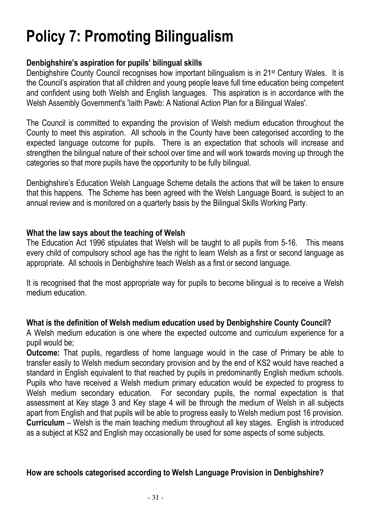# Policy 7: Promoting Bilingualism

## Denbighshire's aspiration for pupils' bilingual skills

Denbighshire County Council recognises how important bilingualism is in 21st Century Wales. It is the Council's aspiration that all children and young people leave full time education being competent and confident using both Welsh and English languages. This aspiration is in accordance with the Welsh Assembly Government's 'Iaith Pawb: A National Action Plan for a Bilingual Wales'.

The Council is committed to expanding the provision of Welsh medium education throughout the County to meet this aspiration. All schools in the County have been categorised according to the expected language outcome for pupils. There is an expectation that schools will increase and strengthen the bilingual nature of their school over time and will work towards moving up through the categories so that more pupils have the opportunity to be fully bilingual.

Denbighshire's Education Welsh Language Scheme details the actions that will be taken to ensure that this happens. The Scheme has been agreed with the Welsh Language Board, is subject to an annual review and is monitored on a quarterly basis by the Bilingual Skills Working Party.

### What the law says about the teaching of Welsh

The Education Act 1996 stipulates that Welsh will be taught to all pupils from 5-16. This means every child of compulsory school age has the right to learn Welsh as a first or second language as appropriate. All schools in Denbighshire teach Welsh as a first or second language.

It is recognised that the most appropriate way for pupils to become bilingual is to receive a Welsh medium education.

## What is the definition of Welsh medium education used by Denbighshire County Council?

A Welsh medium education is one where the expected outcome and curriculum experience for a pupil would be;

Outcome: That pupils, regardless of home language would in the case of Primary be able to transfer easily to Welsh medium secondary provision and by the end of KS2 would have reached a standard in English equivalent to that reached by pupils in predominantly English medium schools. Pupils who have received a Welsh medium primary education would be expected to progress to Welsh medium secondary education. For secondary pupils, the normal expectation is that assessment at Key stage 3 and Key stage 4 will be through the medium of Welsh in all subjects apart from English and that pupils will be able to progress easily to Welsh medium post 16 provision. Curriculum – Welsh is the main teaching medium throughout all key stages. English is introduced as a subject at KS2 and English may occasionally be used for some aspects of some subjects.

## How are schools categorised according to Welsh Language Provision in Denbighshire?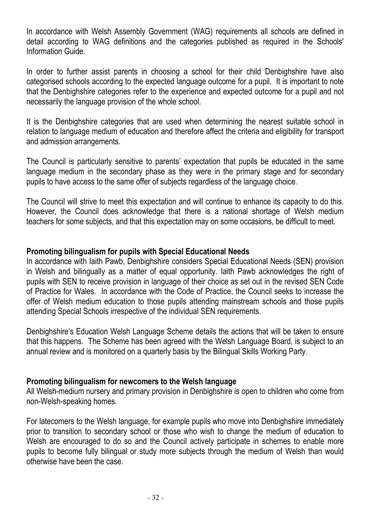In accordance with Welsh Assembly Government (WAG) requirements all schools are defined in detail according to WAG definitions and the categories published as required in the Schools' Information Guide.

In order to further assist parents in choosing a school for their child Denbighshire have also categorised schools according to the expected language outcome for a pupil. It is important to note that the Denbighshire categories refer to the experience and expected outcome for a pupil and not necessarily the language provision of the whole school.

It is the Denbighshire categories that are used when determining the nearest suitable school in relation to language medium of education and therefore affect the criteria and eligibility for transport and admission arrangements.

The Council is particularly sensitive to parents' expectation that pupils be educated in the same language medium in the secondary phase as they were in the primary stage and for secondary pupils to have access to the same offer of subjects regardless of the language choice.

The Council will strive to meet this expectation and will continue to enhance its capacity to do this. However, the Council does acknowledge that there is a national shortage of Welsh medium teachers for some subjects, and that this expectation may on some occasions, be difficult to meet.

### Promoting bilingualism for pupils with Special Educational Needs

In accordance with Iaith Pawb, Denbighshire considers Special Educational Needs (SEN) provision in Welsh and bilingually as a matter of equal opportunity. Iaith Pawb acknowledges the right of pupils with SEN to receive provision in language of their choice as set out in the revised SEN Code of Practice for Wales. In accordance with the Code of Practice, the Council seeks to increase the offer of Welsh medium education to those pupils attending mainstream schools and those pupils attending Special Schools irrespective of the individual SEN requirements.

Denbighshire's Education Welsh Language Scheme details the actions that will be taken to ensure that this happens. The Scheme has been agreed with the Welsh Language Board, is subject to an annual review and is monitored on a quarterly basis by the Bilingual Skills Working Party.

#### Promoting bilingualism for newcomers to the Welsh language

All Welsh-medium nursery and primary provision in Denbighshire is open to children who come from non-Welsh-speaking homes.

For latecomers to the Welsh language, for example pupils who move into Denbighshire immediately prior to transition to secondary school or those who wish to change the medium of education to Welsh are encouraged to do so and the Council actively participate in schemes to enable more pupils to become fully bilingual or study more subjects through the medium of Welsh than would otherwise have been the case.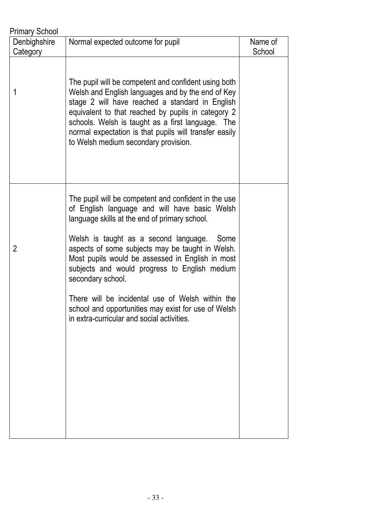| <b>Primary School</b> |                                                                                                                                                                                                                                                                                                                                                                                                                                                                                                                                             |         |  |
|-----------------------|---------------------------------------------------------------------------------------------------------------------------------------------------------------------------------------------------------------------------------------------------------------------------------------------------------------------------------------------------------------------------------------------------------------------------------------------------------------------------------------------------------------------------------------------|---------|--|
| Denbighshire          | Normal expected outcome for pupil                                                                                                                                                                                                                                                                                                                                                                                                                                                                                                           | Name of |  |
| Category              |                                                                                                                                                                                                                                                                                                                                                                                                                                                                                                                                             | School  |  |
| 1                     | The pupil will be competent and confident using both<br>Welsh and English languages and by the end of Key<br>stage 2 will have reached a standard in English<br>equivalent to that reached by pupils in category 2<br>schools. Welsh is taught as a first language. The<br>normal expectation is that pupils will transfer easily<br>to Welsh medium secondary provision.                                                                                                                                                                   |         |  |
| 2                     | The pupil will be competent and confident in the use<br>of English language and will have basic Welsh<br>language skills at the end of primary school.<br>Welsh is taught as a second language. Some<br>aspects of some subjects may be taught in Welsh.<br>Most pupils would be assessed in English in most<br>subjects and would progress to English medium<br>secondary school.<br>There will be incidental use of Welsh within the<br>school and opportunities may exist for use of Welsh<br>in extra-curricular and social activities. |         |  |
|                       |                                                                                                                                                                                                                                                                                                                                                                                                                                                                                                                                             |         |  |